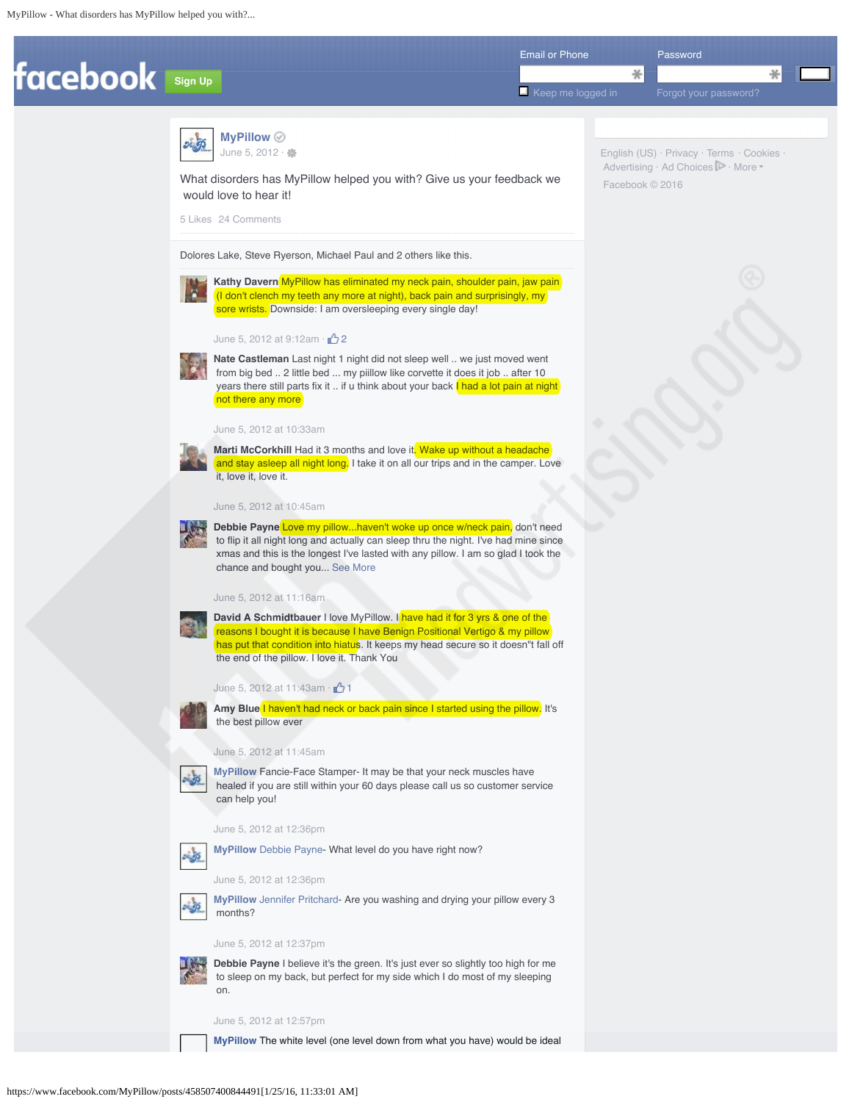